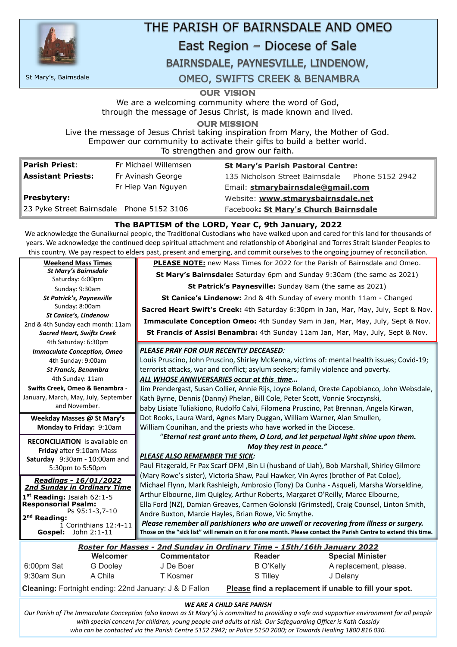

# THE PARISH OF BAIRNSDALE AND OMEO

# East Region - Diocese of Sale

## BAIRNSDALE, PAYNESVILLE, LINDENOW,

**OUR VISION** 

We are a welcoming community where the word of God, through the message of Jesus Christ, is made known and lived.

**OUR MISSION** 

Live the message of Jesus Christ taking inspiration from Mary, the Mother of God. Empower our community to activate their gifts to build a better world. To strengthen and grow our faith.

| <b>Parish Priest:</b><br>Fr Michael Willemsen |                                           | <b>St Mary's Parish Pastoral Centre:</b>        |  |  |
|-----------------------------------------------|-------------------------------------------|-------------------------------------------------|--|--|
| <b>Assistant Priests:</b>                     | Fr Avinash George                         | 135 Nicholson Street Bairnsdale Phone 5152 2942 |  |  |
|                                               | Fr Hiep Van Nguyen                        | Email: stmarybairnsdale@gmail.com               |  |  |
| Presbytery:                                   |                                           | Website: www.stmarysbairnsdale.net              |  |  |
|                                               | 23 Pyke Street Bairnsdale Phone 5152 3106 | Facebook: St Mary's Church Bairnsdale           |  |  |

#### **The BAPTISM of the LORD, Year C, 9th January, 2022**

We acknowledge the Gunaikurnai people, the Traditonal Custodians who have walked upon and cared for this land for thousands of years. We acknowledge the contnued deep spiritual atachment and relatonship of Aboriginal and Torres Strait Islander Peoples to this country. We pay respect to elders past, present and emerging, and commit ourselves to the ongoing journey of reconciliaton.

| 1 <sup>st</sup> Reading: Isaiah 62:1-5 | Arthur Elbourne, Jim Quigley, Arthur Roberts, Margaret O'Reilly, Maree Elbourne,                                |  |  |
|----------------------------------------|-----------------------------------------------------------------------------------------------------------------|--|--|
| <b>Responsorial Psalm:</b>             | Ella Ford (NZ), Damian Greaves, Carmen Golonski (Grimsted), Craig Counsel, Linton Smith,                        |  |  |
| Ps 95:1-3,7-10<br>$2nd$ Reading:       | Andre Buxton, Marcie Hayles, Brian Rowe, Vic Smythe.                                                            |  |  |
| $\overline{1}$ Corinthians 12:4-11     | Please remember all parishioners who are unwell or recovering from illness or surgery.                          |  |  |
| <b>Gospel:</b> John $2:1-11$           | Those on the "sick list" will remain on it for one month. Please contact the Parish Centre to extend this time. |  |  |

#### *WE ARE A CHILD SAFE PARISH*

| <b>Weekend Mass Times</b>                                         | <b>PLEASE NOTE:</b> new Mass Times for 2022 for the Parish of Bairnsdale and Omeo.          |
|-------------------------------------------------------------------|---------------------------------------------------------------------------------------------|
| <b>St Mary's Bairnsdale</b>                                       | St Mary's Bairnsdale: Saturday 6pm and Sunday 9:30am (the same as 2021)                     |
| Saturday: 6:00pm                                                  |                                                                                             |
| Sunday: 9:30am                                                    | St Patrick's Paynesville: Sunday 8am (the same as 2021)                                     |
| <b>St Patrick's, Paynesville</b>                                  | <b>St Canice's Lindenow:</b> 2nd & 4th Sunday of every month 11am - Changed                 |
| Sunday: 8:00am                                                    | Sacred Heart Swift's Creek: 4th Saturday 6:30pm in Jan, Mar, May, July, Sept & Nov.         |
| <b>St Canice's, Lindenow</b>                                      | Immaculate Conception Omeo: 4th Sunday 9am in Jan, Mar, May, July, Sept & Nov.              |
| 2nd & 4th Sunday each month: 11am                                 |                                                                                             |
| <b>Sacred Heart, Swifts Creek</b>                                 | St Francis of Assisi Benambra: 4th Sunday 11am Jan, Mar, May, July, Sept & Nov.             |
| 4th Saturday: 6:30pm                                              |                                                                                             |
| <b>Immaculate Conception, Omeo</b>                                | PLEASE PRAY FOR OUR RECENTLY DECEASED:                                                      |
| 4th Sunday: 9:00am                                                | Louis Pruscino, John Pruscino, Shirley McKenna, victims of: mental health issues; Covid-19; |
| <b>St Francis, Benambra</b>                                       | terrorist attacks, war and conflict; asylum seekers; family violence and poverty.           |
| 4th Sunday: 11am                                                  | ALL WHOSE ANNIVERSARIES occur at this time                                                  |
| <b>Swifts Creek, Omeo &amp; Benambra -</b>                        | Jim Prendergast, Susan Collier, Annie Rijs, Joyce Boland, Oreste Capobianco, John Websdale, |
| January, March, May, July, September                              | Kath Byrne, Dennis (Danny) Phelan, Bill Cole, Peter Scott, Vonnie Sroczynski,               |
| and November.                                                     | baby Lisiate Tuliakiono, Rudolfo Calvi, Filomena Pruscino, Pat Brennan, Angela Kirwan,      |
| <b>Weekday Masses @ St Mary's</b>                                 | Dot Rooks, Laura Ward, Agnes Mary Duggan, William Warner, Alan Smullen,                     |
| <b>Monday to Friday: 9:10am</b>                                   | William Counihan, and the priests who have worked in the Diocese.                           |
|                                                                   | "Eternal rest grant unto them, O Lord, and let perpetual light shine upon them.             |
| <b>RECONCILIATION</b> is available on<br>Friday after 9:10am Mass | May they rest in peace."                                                                    |
| Saturday 9:30am - 10:00am and                                     | <b>PLEASE ALSO REMEMBER THE SICK:</b>                                                       |
| 5:30pm to 5:50pm                                                  | Paul Fitzgerald, Fr Pax Scarf OFM, Bin Li (husband of Liah), Bob Marshall, Shirley Gilmore  |
|                                                                   | (Mary Rowe's sister), Victoria Shaw, Paul Hawker, Vin Ayres (brother of Pat Coloe),         |
| Readings - 16/01/2022<br><b>2nd Sunday in Ordinary Time</b>       | Michael Flynn, Mark Rashleigh, Ambrosio (Tony) Da Cunha - Asqueli, Marsha Worseldine,       |
|                                                                   |                                                                                             |

*Our Parish of The Immaculate Concepton (also known as St Mary's) is commited to providing a safe and supportve environment for all people*  with special concern for children, young people and adults at risk. Our Safeguarding Officer is Kath Cassidy *who can be contacted via the Parish Centre 5152 2942; or Police 5150 2600; or Towards Healing 1800 816 030.*

|                                                                   |                 |                    | Roster for Masses - 2nd Sunday in Ordinary Time - 15th/16th January 2022 |                         |
|-------------------------------------------------------------------|-----------------|--------------------|--------------------------------------------------------------------------|-------------------------|
|                                                                   | Welcomer        | <b>Commentator</b> | <b>Reader</b>                                                            | <b>Special Minister</b> |
| 6:00pm Sat                                                        | <b>G</b> Dooley | J De Boer          | <b>B</b> O'Kelly                                                         | A replacement, please.  |
| 9:30am Sun                                                        | A Chila         | T Kosmer           | S Tilley                                                                 | J Delany                |
| <b>Cleaning: Fortnight ending: 22nd January: J &amp; D Fallon</b> |                 |                    | Please find a replacement if unable to fill your spot.                   |                         |

St Mary's, Bairnsdale

**OMEO, SWIFTS CREEK & BENAMBRA**